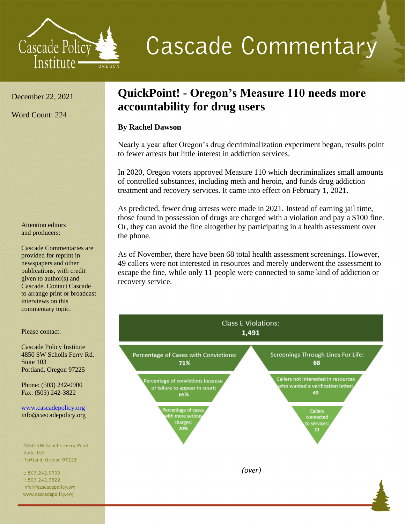

## **Cascade Commentary**

December 22, 2021

Word Count: 224

Attention editors and producers:

Cascade Commentaries are provided for reprint in newspapers and other publications, with credit given to author(s) and Cascade. Contact Cascade to arrange print or broadcast interviews on this commentary topic.

Please contact:

Cascade Policy Institute 4850 SW Scholls Ferry Rd. Suite 103 Portland, Oregon 97225

Phone: (503) 242-0900 Fax: (503) 242-3822

[www.cascadepolicy.org](http://www.cascadepolicy.org/) info@cascadepolicy.org

4850 SW Scholls Ferry Road **Suite 103** Portland, Oregon 97225

t: 503.242.0900 f: 503.242.3822 info@cascadepolicy.org www.cascadepolicy.org

## **QuickPoint! - Oregon's Measure 110 needs more accountability for drug users**

## **By Rachel Dawson**

Nearly a year after Oregon's drug decriminalization experiment began, results point to fewer arrests but little interest in addiction services.

In 2020, Oregon voters approved Measure 110 which decriminalizes small amounts of controlled substances, including meth and heroin, and funds drug addiction treatment and recovery services. It came into effect on February 1, 2021.

As predicted, fewer drug arrests were made in 2021. Instead of earning jail time, those found in possession of drugs are charged with a violation and pay a \$100 fine. Or, they can avoid the fine altogether by participating in a health assessment over the phone.

As of November, there have been 68 total health assessment screenings. However, 49 callers were not interested in resources and merely underwent the assessment to escape the fine, while only 11 people were connected to some kind of addiction or recovery service.